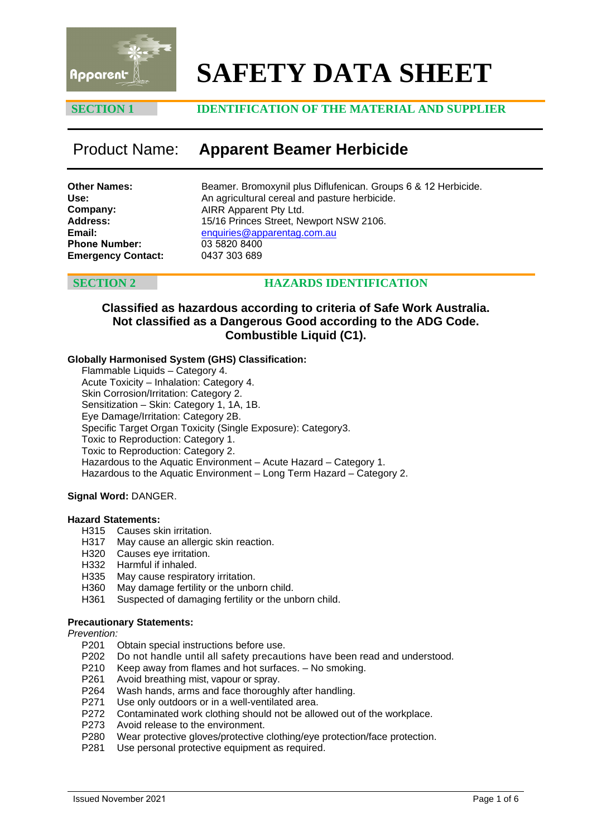

# **SAFETY DATA SHEET**

## **SECTION 1 IDENTIFICATION OF THE MATERIAL AND SUPPLIER**

# Product Name: **Apparent Beamer Herbicide**

| <b>Other Names:</b>       |  |
|---------------------------|--|
| Use:                      |  |
| Company:                  |  |
| <b>Address:</b>           |  |
| Email:                    |  |
| <b>Phone Number:</b>      |  |
| <b>Emergency Contact:</b> |  |

Beamer. Bromoxynil plus Diflufenican. Groups 6 & 12 Herbicide. An agricultural cereal and pasture herbicide. AIRR Apparent Pty Ltd. 15/16 Princes Street, Newport NSW 2106. enquiries@apparentag.com.au [03 5820 8400](mailto:enquiries@apparentag.com.au) 0437 303 689

# **SECTION 2 HAZARDS IDENTIFICATION**

### **Classified as hazardous according to criteria of Safe Work Australia. Not classified as a Dangerous Good according to the ADG Code. Combustible Liquid (C1).**

### **Globally Harmonised System (GHS) Classification:**

Flammable Liquids – Category 4. Acute Toxicity – Inhalation: Category 4. Skin Corrosion/Irritation: Category 2. Sensitization – Skin: Category 1, 1A, 1B. Eye Damage/Irritation: Category 2B. Specific Target Organ Toxicity (Single Exposure): Category3. Toxic to Reproduction: Category 1. Toxic to Reproduction: Category 2. Hazardous to the Aquatic Environment – Acute Hazard – Category 1. Hazardous to the Aquatic Environment – Long Term Hazard – Category 2.

### **Signal Word:** DANGER.

### **Hazard Statements:**

- H315 Causes skin irritation.<br>H317 May cause an allergic
- May cause an allergic skin reaction.
- H320 Causes eye irritation.
- H332 Harmful if inhaled.
- H335 May cause respiratory irritation.
- H360 May damage fertility or the unborn child.
- H361 Suspected of damaging fertility or the unborn child.

### **Precautionary Statements:**

*Prevention:*

- P201 Obtain special instructions before use.
- P202 Do not handle until all safety precautions have been read and understood.
- P210 Keep away from flames and hot surfaces. No smoking.<br>P261 Avoid breathing mist, vapour or spray.
- Avoid breathing mist, vapour or spray.
- P264 Wash hands, arms and face thoroughly after handling.
- P271 Use only outdoors or in a well-ventilated area.
- P272 Contaminated work clothing should not be allowed out of the workplace.
- P273 Avoid release to the environment.
- P280 Wear protective gloves/protective clothing/eye protection/face protection.<br>P281 Use personal protective equipment as required.
- Use personal protective equipment as required.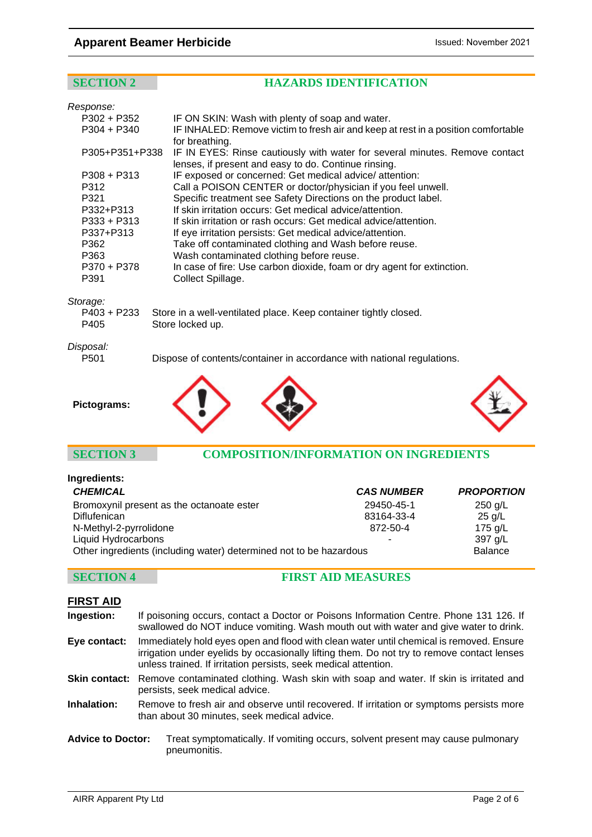# **Apparent Beamer Herbicide Issued: November 2021**

# **SECTION 2 HAZARDS IDENTIFICATION**

| Response:        |                                                                                                                                     |
|------------------|-------------------------------------------------------------------------------------------------------------------------------------|
| $P302 + P352$    | IF ON SKIN: Wash with plenty of soap and water.                                                                                     |
| $P304 + P340$    | IF INHALED: Remove victim to fresh air and keep at rest in a position comfortable<br>for breathing.                                 |
| P305+P351+P338   | IF IN EYES: Rinse cautiously with water for several minutes. Remove contact<br>lenses, if present and easy to do. Continue rinsing. |
| $P308 + P313$    | IF exposed or concerned: Get medical advice/attention:                                                                              |
| P312             | Call a POISON CENTER or doctor/physician if you feel unwell.                                                                        |
| P321             | Specific treatment see Safety Directions on the product label.                                                                      |
| P332+P313        | If skin irritation occurs: Get medical advice/attention.                                                                            |
| P333 + P313      | If skin irritation or rash occurs: Get medical advice/attention.                                                                    |
| P337+P313        | If eye irritation persists: Get medical advice/attention.                                                                           |
| P362             | Take off contaminated clothing and Wash before reuse.                                                                               |
| P363             | Wash contaminated clothing before reuse.                                                                                            |
| P370 + P378      | In case of fire: Use carbon dioxide, foam or dry agent for extinction.                                                              |
| P391             | Collect Spillage.                                                                                                                   |
| Storage:         |                                                                                                                                     |
| P403 + P233      | Store in a well-ventilated place. Keep container tightly closed.                                                                    |
| P405             | Store locked up.                                                                                                                    |
| Disposal:        |                                                                                                                                     |
| P <sub>501</sub> | Dispose of contents/container in accordance with national regulations.                                                              |
|                  |                                                                                                                                     |





# **SECTION 3 COMPOSITION/INFORMATION ON INGREDIENTS**

| Ingredients:                                                       |                   |                   |
|--------------------------------------------------------------------|-------------------|-------------------|
| <b>CHEMICAL</b>                                                    | <b>CAS NUMBER</b> | <b>PROPORTION</b> |
| Bromoxynil present as the octanoate ester                          | 29450-45-1        | $250$ g/L         |
| <b>Diflufenican</b>                                                | 83164-33-4        | $25$ g/L          |
| N-Methyl-2-pyrrolidone                                             | 872-50-4          | 175 $g/L$         |
| Liquid Hydrocarbons                                                | ۰                 | 397 g/L           |
| Other ingredients (including water) determined not to be hazardous | <b>Balance</b>    |                   |

# **SECTION 4 FIRST AID MEASURES**

| <b>FIRST AID</b>         |                                                                                                                                                                                                                                                          |  |
|--------------------------|----------------------------------------------------------------------------------------------------------------------------------------------------------------------------------------------------------------------------------------------------------|--|
| Ingestion:               | If poisoning occurs, contact a Doctor or Poisons Information Centre. Phone 131 126. If<br>swallowed do NOT induce vomiting. Wash mouth out with water and give water to drink.                                                                           |  |
| Eye contact:             | Immediately hold eyes open and flood with clean water until chemical is removed. Ensure<br>irrigation under eyelids by occasionally lifting them. Do not try to remove contact lenses<br>unless trained. If irritation persists, seek medical attention. |  |
|                          | Skin contact: Remove contaminated clothing. Wash skin with soap and water. If skin is irritated and<br>persists, seek medical advice.                                                                                                                    |  |
| Inhalation:              | Remove to fresh air and observe until recovered. If irritation or symptoms persists more<br>than about 30 minutes, seek medical advice.                                                                                                                  |  |
| <b>Advice to Doctor:</b> | Treat symptomatically. If vomiting occurs, solvent present may cause pulmonary<br>pneumonitis.                                                                                                                                                           |  |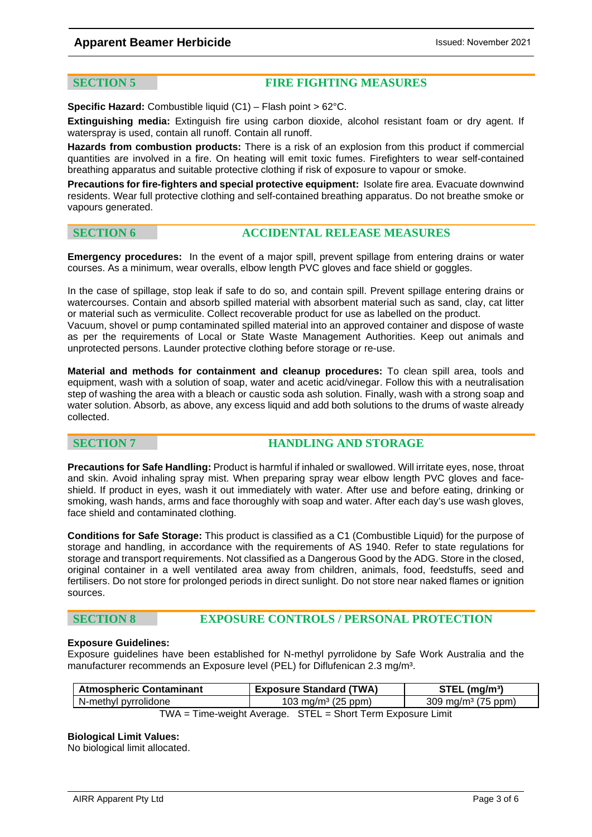### **Apparent Beamer Herbicide Intervention of the US** Issued: November 2021

### **SECTION 5 FIRE FIGHTING MEASURES**

**Specific Hazard:** Combustible liquid (C1) – Flash point > 62°C.

**Extinguishing media:** Extinguish fire using carbon dioxide, alcohol resistant foam or dry agent. If waterspray is used, contain all runoff. Contain all runoff.

**Hazards from combustion products:** There is a risk of an explosion from this product if commercial quantities are involved in a fire. On heating will emit toxic fumes. Firefighters to wear self-contained breathing apparatus and suitable protective clothing if risk of exposure to vapour or smoke.

**Precautions for fire-fighters and special protective equipment:** Isolate fire area. Evacuate downwind residents. Wear full protective clothing and self-contained breathing apparatus. Do not breathe smoke or vapours generated.

### **SECTION 6 ACCIDENTAL RELEASE MEASURES**

**Emergency procedures:** In the event of a major spill, prevent spillage from entering drains or water courses. As a minimum, wear overalls, elbow length PVC gloves and face shield or goggles.

In the case of spillage, stop leak if safe to do so, and contain spill. Prevent spillage entering drains or watercourses. Contain and absorb spilled material with absorbent material such as sand, clay, cat litter or material such as vermiculite. Collect recoverable product for use as labelled on the product.

Vacuum, shovel or pump contaminated spilled material into an approved container and dispose of waste as per the requirements of Local or State Waste Management Authorities. Keep out animals and unprotected persons. Launder protective clothing before storage or re-use.

**Material and methods for containment and cleanup procedures:** To clean spill area, tools and equipment, wash with a solution of soap, water and acetic acid/vinegar. Follow this with a neutralisation step of washing the area with a bleach or caustic soda ash solution. Finally, wash with a strong soap and water solution. Absorb, as above, any excess liquid and add both solutions to the drums of waste already collected.

# **SECTION 7 HANDLING AND STORAGE**

**Precautions for Safe Handling:** Product is harmful if inhaled or swallowed. Will irritate eyes, nose, throat and skin. Avoid inhaling spray mist. When preparing spray wear elbow length PVC gloves and faceshield. If product in eyes, wash it out immediately with water. After use and before eating, drinking or smoking, wash hands, arms and face thoroughly with soap and water. After each day's use wash gloves, face shield and contaminated clothing.

**Conditions for Safe Storage:** This product is classified as a C1 (Combustible Liquid) for the purpose of storage and handling, in accordance with the requirements of AS 1940. Refer to state regulations for storage and transport requirements. Not classified as a Dangerous Good by the ADG. Store in the closed, original container in a well ventilated area away from children, animals, food, feedstuffs, seed and fertilisers. Do not store for prolonged periods in direct sunlight. Do not store near naked flames or ignition sources.

### **SECTION 8 EXPOSURE CONTROLS / PERSONAL PROTECTION**

### **Exposure Guidelines:**

Exposure guidelines have been established for N-methyl pyrrolidone by Safe Work Australia and the manufacturer recommends an Exposure level (PEL) for Diflufenican 2.3 mg/m<sup>3</sup>.

| <b>Atmospheric Contaminant</b>                              | <b>Exposure Standard (TWA)</b> | $STEL$ (mg/m <sup>3</sup> )      |  |
|-------------------------------------------------------------|--------------------------------|----------------------------------|--|
| N-methyl pyrrolidone                                        | 103 mg/m <sup>3</sup> (25 ppm) | $309 \,\mathrm{mg/m^3}$ (75 ppm) |  |
| TWA = Time-weight Average. STEL = Short Term Exposure Limit |                                |                                  |  |

### **Biological Limit Values:**

No biological limit allocated.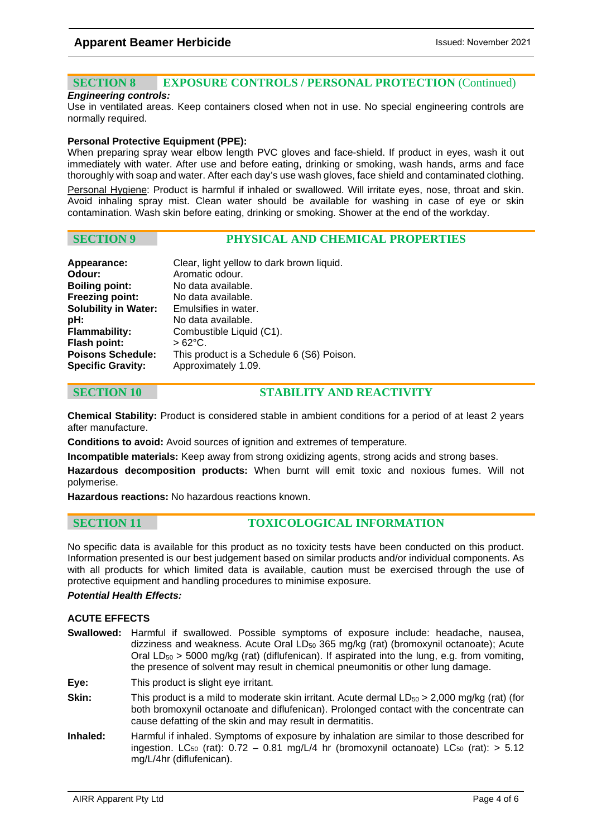# **SECTION 8 EXPOSURE CONTROLS / PERSONAL PROTECTION** (Continued)

### *Engineering controls:*

Use in ventilated areas. Keep containers closed when not in use. No special engineering controls are normally required.

### **Personal Protective Equipment (PPE):**

When preparing spray wear elbow length PVC gloves and face-shield. If product in eyes, wash it out immediately with water. After use and before eating, drinking or smoking, wash hands, arms and face thoroughly with soap and water. After each day's use wash gloves, face shield and contaminated clothing. Personal Hygiene: Product is harmful if inhaled or swallowed. Will irritate eyes, nose, throat and skin. Avoid inhaling spray mist. Clean water should be available for washing in case of eye or skin contamination. Wash skin before eating, drinking or smoking. Shower at the end of the workday.

### **SECTION 9 PHYSICAL AND CHEMICAL PROPERTIES**

| Clear, light yellow to dark brown liquid.<br>Aromatic odour. |
|--------------------------------------------------------------|
| No data available.                                           |
| No data available.                                           |
| Emulsifies in water.                                         |
| No data available.                                           |
| Combustible Liquid (C1).                                     |
| $>62^{\circ}$ C.                                             |
| This product is a Schedule 6 (S6) Poison.                    |
| Approximately 1.09.                                          |
|                                                              |

# **SECTION 10 STABILITY AND REACTIVITY**

**Chemical Stability:** Product is considered stable in ambient conditions for a period of at least 2 years after manufacture.

**Conditions to avoid:** Avoid sources of ignition and extremes of temperature.

**Incompatible materials:** Keep away from strong oxidizing agents, strong acids and strong bases.

**Hazardous decomposition products:** When burnt will emit toxic and noxious fumes. Will not polymerise.

**Hazardous reactions:** No hazardous reactions known.

### **SECTION 11 TOXICOLOGICAL INFORMATION**

No specific data is available for this product as no toxicity tests have been conducted on this product. Information presented is our best judgement based on similar products and/or individual components. As with all products for which limited data is available, caution must be exercised through the use of protective equipment and handling procedures to minimise exposure.

### *Potential Health Effects:*

### **ACUTE EFFECTS**

- **Swallowed:** Harmful if swallowed. Possible symptoms of exposure include: headache, nausea, dizziness and weakness. Acute Oral  $LD_{50}$  365 mg/kg (rat) (bromoxynil octanoate); Acute Oral  $LD_{50}$  > 5000 mg/kg (rat) (diflufenican). If aspirated into the lung, e.g. from vomiting, the presence of solvent may result in chemical pneumonitis or other lung damage.
- **Eye:** This product is slight eye irritant.
- **Skin:** This product is a mild to moderate skin irritant. Acute dermal LD<sub>50</sub> > 2,000 mg/kg (rat) (for both bromoxynil octanoate and diflufenican). Prolonged contact with the concentrate can cause defatting of the skin and may result in dermatitis.
- **Inhaled:** Harmful if inhaled. Symptoms of exposure by inhalation are similar to those described for ingestion. LC<sub>50</sub> (rat):  $0.72 - 0.81$  mg/L/4 hr (bromoxynil octanoate) LC<sub>50</sub> (rat):  $> 5.12$ mg/L/4hr (diflufenican).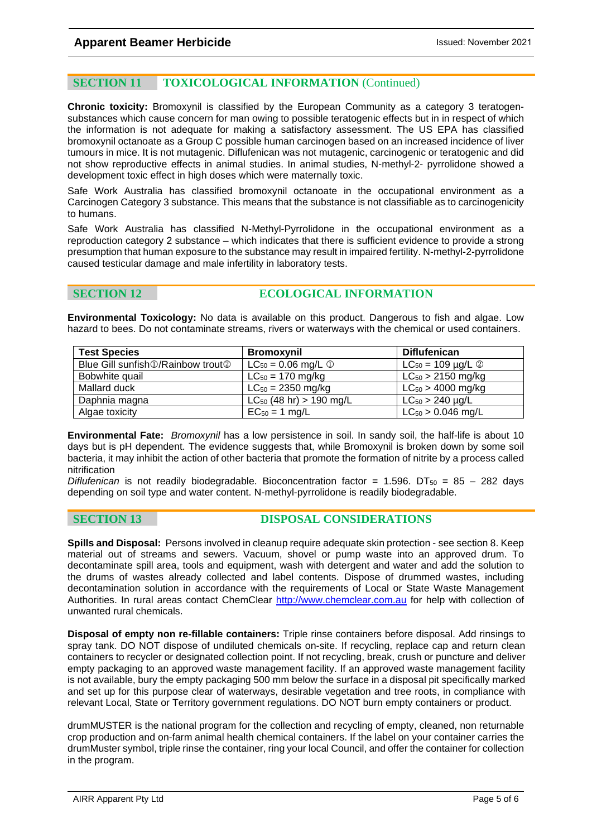# **SECTION 11 TOXICOLOGICAL INFORMATION** (Continued)

**Chronic toxicity:** Bromoxynil is classified by the European Community as a category 3 teratogensubstances which cause concern for man owing to possible teratogenic effects but in in respect of which the information is not adequate for making a satisfactory assessment. The US EPA has classified bromoxynil octanoate as a Group C possible human carcinogen based on an increased incidence of liver tumours in mice. It is not mutagenic. Diflufenican was not mutagenic, carcinogenic or teratogenic and did not show reproductive effects in animal studies. In animal studies, N-methyl-2- pyrrolidone showed a development toxic effect in high doses which were maternally toxic.

Safe Work Australia has classified bromoxynil octanoate in the occupational environment as a Carcinogen Category 3 substance. This means that the substance is not classifiable as to carcinogenicity to humans.

Safe Work Australia has classified N-Methyl-Pyrrolidone in the occupational environment as a reproduction category 2 substance – which indicates that there is sufficient evidence to provide a strong presumption that human exposure to the substance may result in impaired fertility. N-methyl-2-pyrrolidone caused testicular damage and male infertility in laboratory tests.

# **SECTION 12 ECOLOGICAL INFORMATION**

**Environmental Toxicology:** No data is available on this product. Dangerous to fish and algae. Low hazard to bees. Do not contaminate streams, rivers or waterways with the chemical or used containers.

| <b>Test Species</b>                                    | <b>Bromoxynil</b>                   | <b>Diflufenican</b>             |
|--------------------------------------------------------|-------------------------------------|---------------------------------|
| Blue Gill sunfish <b>1</b> /Rainbow trout <sup>2</sup> | $LC_{50} = 0.06$ mg/L $\circled{1}$ | $LC_{50} = 109 \mu g/L \oslash$ |
| Bobwhite quail                                         | $LC_{50} = 170$ mg/kg               | $LC_{50}$ > 2150 mg/kg          |
| Mallard duck                                           | $LC_{50} = 2350$ mg/kg              | $LC_{50} > 4000$ mg/kg          |
| Daphnia magna                                          | $LC_{50}$ (48 hr) > 190 mg/L        | $LC_{50}$ > 240 $\mu$ g/L       |
| Algae toxicity                                         | $EC_{50} = 1$ mg/L                  | $LC_{50}$ > 0.046 mg/L          |

**Environmental Fate:** *Bromoxynil* has a low persistence in soil. In sandy soil, the half-life is about 10 days but is pH dependent. The evidence suggests that, while Bromoxynil is broken down by some soil bacteria, it may inhibit the action of other bacteria that promote the formation of nitrite by a process called nitrification

*Diflufenican* is not readily biodegradable. Bioconcentration factor =  $1.596$ . DT<sub>50</sub> =  $85 - 282$  days depending on soil type and water content. N-methyl-pyrrolidone is readily biodegradable.

**SECTION 13 DISPOSAL CONSIDERATIONS**

**Spills and Disposal:** Persons involved in cleanup require adequate skin protection - see section 8. Keep material out of streams and sewers. Vacuum, shovel or pump waste into an approved drum. To decontaminate spill area, tools and equipment, wash with detergent and water and add the solution to the drums of wastes already collected and label contents. Dispose of drummed wastes, including decontamination solution in accordance with the requirements of Local or State Waste Management Authorities. In rural areas contact ChemClear [http://www.chemclear.com.au](http://www.chemclear.com.au/) for help with collection of unwanted rural chemicals.

**Disposal of empty non re-fillable containers:** Triple rinse containers before disposal. Add rinsings to spray tank. DO NOT dispose of undiluted chemicals on-site. If recycling, replace cap and return clean containers to recycler or designated collection point. If not recycling, break, crush or puncture and deliver empty packaging to an approved waste management facility. If an approved waste management facility is not available, bury the empty packaging 500 mm below the surface in a disposal pit specifically marked and set up for this purpose clear of waterways, desirable vegetation and tree roots, in compliance with relevant Local, State or Territory government regulations. DO NOT burn empty containers or product.

drumMUSTER is the national program for the collection and recycling of empty, cleaned, non returnable crop production and on-farm animal health chemical containers. If the label on your container carries the drumMuster symbol, triple rinse the container, ring your local Council, and offer the container for collection in the program.